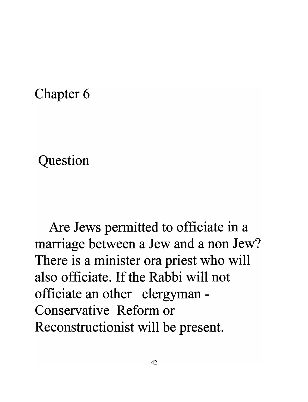#### Chapter 6

## Question

Are Jews permitted to officiate in a marriage between a Jew and a non Jew? There is a minister ora priest who will **also officiate. If the Rabbi will not**  officiate an other clergyman-**Conservative Reform or**  Reconstructionist will be present.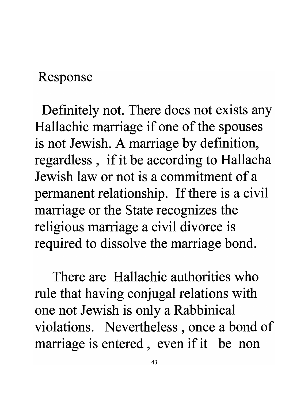#### Response

Definitely not. There does not exists any Hallachic marriage if one of the spouses is not Jewish. A marriage by definition, regardless, if it be according to Hallacha Jewish law or not is a commitment of a permanent relationship. If there is a civil marriage or the State recognizes the religious marriage a civil divorce is required to dissolve the marriage bond.

There are Hallachic authorities who rule that having conjugal relations with one not Jewish is only a Rabbinical violations. Nevertheless, once a bond of marriage is entered, even if it be non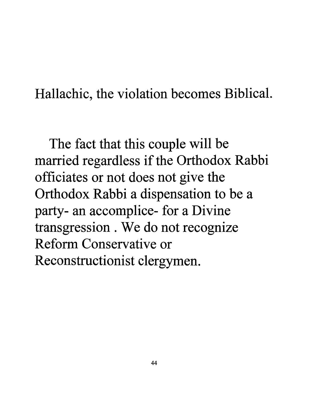# Hallachic, the violation becomes Biblical.

The fact that this couple will be married regardless if the Orthodox Rabbi officiates or not does not give the Orthodox Rabbi a dispensation to be a party- an accomplice- for a Divine transgression . We do not recognize **Reform Conservative or**  Reconstructionist clergymen.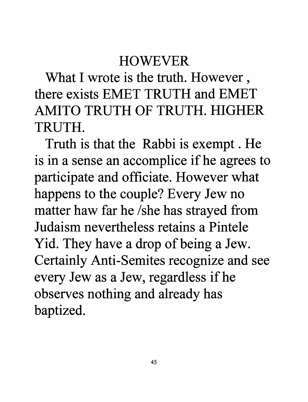### HOWEVER

What I wrote is the truth. However, **there exists** EMET TRUTH **and** EMET AMITO TRUTH OF TRUTH. HIGHER TRUTH.

Truth is that the Rabbi is exempt . He is in a sense an accomplice if he agrees to participate and officiate. However what happens to the couple? Every Jew no matter haw far he /she has strayed from **Judaism nevertheless retains a Pintele**  Yid. They have a drop of being a Jew. Certainly Anti-Semites recognize and see every Jew as a Jew, regardless if he observes nothing and already has baptized.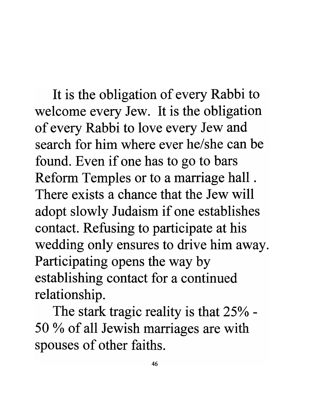It is the obligation of every Rabbi to welcome every Jew. It is the obligation of every Rabbi to love every Jew and search for him where ever he/she can be found. Even if one has to go to bars Reform Temples or to a marriage hall . There exists a chance that the Jew will adopt slowly Judaism if one establishes contact. Refusing to participate at his wedding only ensures to drive him away. Participating opens the way by establishing contact for a continued relationship.

The stark tragic reality is that 25% - 50 % of all Jewish marriages are with spouses of other faiths.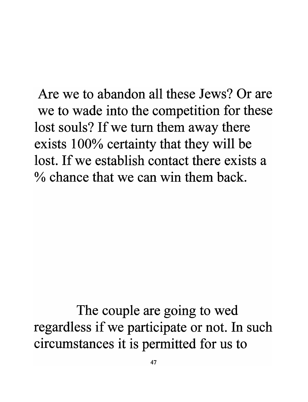Are we to abandon all these Jews? Or are we to wade into the competition for these lost souls? If we turn them away there exists 100% certainty that they will be lost. If we establish contact there exists a % chance that we can win them back.

The couple are going to wed regardless if we participate or not. In such circumstances it is permitted for us to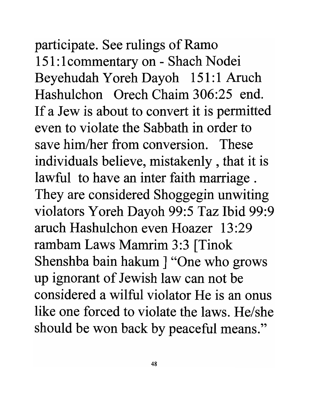participate. See rulings of Ramo 151:1commentary on - Shach Nodei Beyehudah Yoreh Dayoh 151:1 Aruch Hashulchon Orech Chaim 306:25 end. If a Jew is about to convert it is permitted even to violate the Sabbath in order to save him/her from conversion. These individuals believe, mistakenly , that it is lawful to have an inter faith marriage . They are considered Shoggegin unwiting violators Y oreh Dayoh 99:5 Taz Ibid 99:9 aruch Hashulchon even Hoazer 13 :29 rambam Laws Mamrim 3:3 [Tinok Shenshba bain hakum ] "One who grows up ignorant of Jewish law can not be considered a wilful violator He is an onus like one forced to violate the laws. He/she should be won back by peaceful means."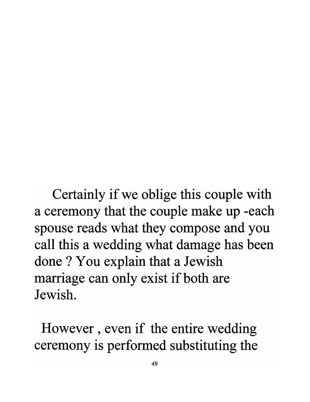Certainly if we oblige this couple with a ceremony that the couple make up -each spouse reads what they compose and you call this a wedding what damage has been done? You explain that a Jewish marriage can only exist if both are **Jewish.** 

However , even if the entire wedding ceremony is performed substituting the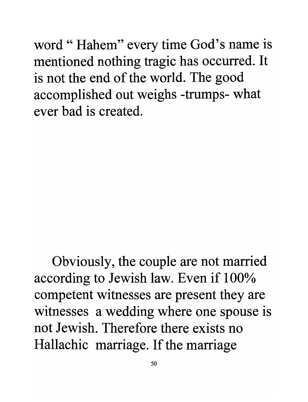word "Hahem" every time God's name is mentioned nothing tragic has occurred. It is not the end of the world. The good accomplished out weighs -trumps- what **ever** bad **is created.** 

Obviously, the couple are not married according to Jewish law. Even if 100% competent witnesses are present they are witnesses a wedding where one spouse is **not** Jewish. **Therefore there exists no**  Hallachic marriage. If the marriage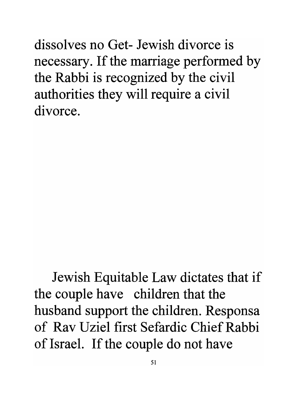**dissolves no Get- Jewish divorce is**  necessary. If the marriage performed by the Rabbi is recognized by the civil authorities they will require a civil **divorce.** 

Jewish Equitable Law dictates that if the couple have children that the husband support the children. Responsa **of Rav Uziel first Sefardic** Chief Rabbi of Israel. If the couple do not have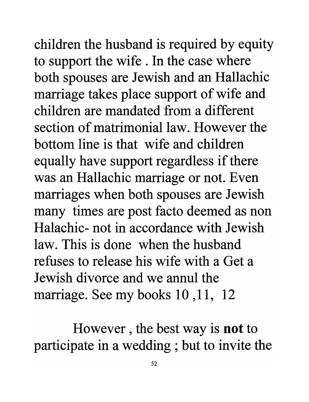children the husband is required by equity to support the wife . In the case where both spouses are Jewish and an Hallachic marriage takes place support of wife and children are mandated from a different section of matrimonial law. However the bottom line is that wife and children equally have support regardless if there was an Hallachic marriage or not. Even marriages when both spouses are Jewish many times are post facto deemed as non Halachic- not in accordance with Jewish law. This is done when the husband refuses to release his wife with a Get a Jewish divorce and we annul the marriage. See my books  $10, 11, 12$ 

However, the best way is not to participate in a wedding ; but to invite the